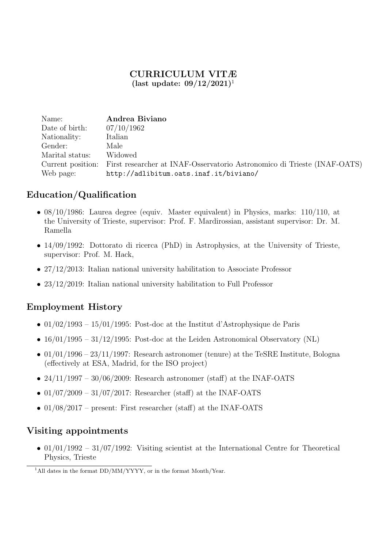### CURRICULUM VITÆ (last update:  $09/12/2021$ )<sup>1</sup>

| Name:             | Andrea Biviano                                                           |
|-------------------|--------------------------------------------------------------------------|
| Date of birth:    | 07/10/1962                                                               |
| Nationality:      | Italian                                                                  |
| Gender:           | Male                                                                     |
| Marital status:   | Widowed                                                                  |
| Current position: | First researcher at INAF-Osservatorio Astronomico di Trieste (INAF-OATS) |
| Web page:         | http://adlibitum.oats.inaf.it/biviano/                                   |

## Education/Qualification

- 08/10/1986: Laurea degree (equiv. Master equivalent) in Physics, marks: 110/110, at the University of Trieste, supervisor: Prof. F. Mardirossian, assistant supervisor: Dr. M. Ramella
- 14/09/1992: Dottorato di ricerca (PhD) in Astrophysics, at the University of Trieste, supervisor: Prof. M. Hack,
- 27/12/2013: Italian national university habilitation to Associate Professor
- 23/12/2019: Italian national university habilitation to Full Professor

### Employment History

- 01/02/1993 15/01/1995: Post-doc at the Institut d'Astrophysique de Paris
- $16/01/1995 31/12/1995$ : Post-doc at the Leiden Astronomical Observatory (NL)
- 01/01/1996 23/11/1997: Research astronomer (tenure) at the TeSRE Institute, Bologna (effectively at ESA, Madrid, for the ISO project)
- $24/11/1997 30/06/2009$ : Research astronomer (staff) at the INAF-OATS
- $01/07/2009 31/07/2017$ : Researcher (staff) at the INAF-OATS
- $01/08/2017$  present: First researcher (staff) at the INAF-OATS

### Visiting appointments

•  $01/01/1992 - 31/07/1992$ : Visiting scientist at the International Centre for Theoretical Physics, Trieste

<sup>&</sup>lt;sup>1</sup>All dates in the format  $DD/MM/YYYY$ , or in the format Month/Year.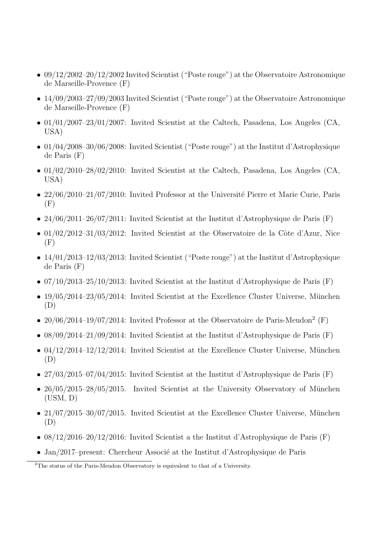- 09/12/2002–20/12/2002 Invited Scientist ("Poste rouge") at the Observatoire Astronomique de Marseille-Provence (F)
- 14/09/2003–27/09/2003 Invited Scientist ("Poste rouge") at the Observatoire Astronomique de Marseille-Provence (F)
- $01/01/2007-23/01/2007$ : Invited Scientist at the Caltech, Pasadena, Los Angeles (CA, USA)
- 01/04/2008–30/06/2008: Invited Scientist ("Poste rouge") at the Institut d'Astrophysique de Paris (F)
- 01/02/2010–28/02/2010: Invited Scientist at the Caltech, Pasadena, Los Angeles (CA, USA)
- $22/06/2010-21/07/2010$ : Invited Professor at the Université Pierre et Marie Curie, Paris  $(F)$
- 24/06/2011–26/07/2011: Invited Scientist at the Institut d'Astrophysique de Paris  $(F)$
- $01/02/2012-31/03/2012$ : Invited Scientist at the Observatoire de la Côte d'Azur, Nice  $(F)$
- 14/01/2013–12/03/2013: Invited Scientist ("Poste rouge") at the Institut d'Astrophysique de Paris (F)
- 07/10/2013–25/10/2013: Invited Scientist at the Institut d'Astrophysique de Paris  $(F)$
- $19/05/2014-23/05/2014$ : Invited Scientist at the Excellence Cluster Universe, München (D)
- $20/06/2014-19/07/2014$ : Invited Professor at the Observatoire de Paris-Meudon<sup>2</sup> (F)
- 08/09/2014–21/09/2014: Invited Scientist at the Institut d'Astrophysique de Paris  $(F)$
- 04/12/2014–12/12/2014: Invited Scientist at the Excellence Cluster Universe, München (D)
- $27/03/2015$ –07/04/2015: Invited Scientist at the Institut d'Astrophysique de Paris (F)
- $26/05/2015-28/05/2015$ . Invited Scientist at the University Observatory of München  $(USM, D)$
- $21/07/2015-30/07/2015$ . Invited Scientist at the Excellence Cluster Universe, München (D)
- 08/12/2016–20/12/2016: Invited Scientist a the Institut d'Astrophysique de Paris  $(F)$
- Jan/2017–present: Chercheur Associé at the Institut d'Astrophysique de Paris

<sup>2</sup>The status of the Paris-Meudon Observatory is equivalent to that of a University.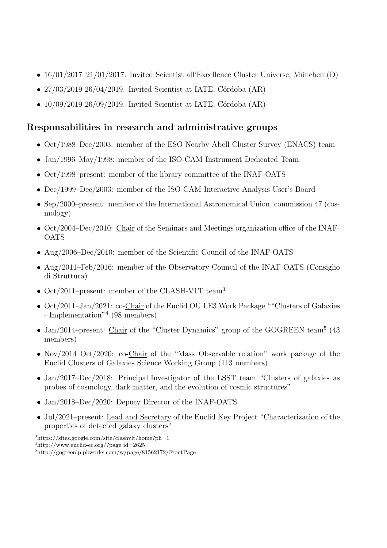- $16/01/2017-21/01/2017$ . Invited Scientist all'Excellence Cluster Universe, München (D)
- $27/03/2019-26/04/2019$ . Invited Scientist at IATE, Córdoba  $(AR)$
- $10/09/2019-26/09/2019$ . Invited Scientist at IATE, Córdoba (AR)

# Responsabilities in research and administrative groups

- Oct/1988–Dec/2003: member of the ESO Nearby Abell Cluster Survey (ENACS) team
- Jan/1996–May/1998: member of the ISO-CAM Instrument Dedicated Team
- Oct/1998–present: member of the library committee of the INAF-OATS
- Dec/1999–Dec/2003: member of the ISO-CAM Interactive Analysis User's Board
- Sep/2000–present: member of the International Astronomical Union, commission 47 (cosmology)
- Oct/2004–Dec/2010: Chair of the Seminars and Meetings organization office of the INAF-OATS
- Aug/2006–Dec/2010: member of the Scientific Council of the INAF-OATS
- Aug/2011–Feb/2016: member of the Observatory Council of the INAF-OATS (Consiglio di Struttura)
- Oct/2011–present: member of the CLASH-VLT team<sup>3</sup>
- Oct/2011–Jan/2021: co-Chair of the Euclid OU LE3 Work Package ""Clusters of Galaxies - Implementation<sup>"4</sup> (98 members)
- Jan/2014–present: Chair of the "Cluster Dynamics" group of the GOGREEN team<sup>5</sup> (43) members)
- Nov/2014–Oct/2020: co-Chair of the "Mass-Observable relation" work package of the Euclid Clusters of Galaxies Science Working Group (113 members)
- Jan/2017–Dec/2018: Principal Investigator of the LSST team "Clusters of galaxies as probes of cosmology, dark matter, and the evolution of cosmic structures"
- Jan/2018–Dec/2020: Deputy Director of the INAF-OATS
- Jul/2021–present: Lead and Secretary of the Euclid Key Project "Characterization of the properties of detected galaxy clusters"

<sup>3</sup>https://sites.google.com/site/clashvlt/home?pli=1

<sup>4</sup>http://www.euclid-ec.org/?page id=2625

<sup>5</sup>http://gogreenlp.pbworks.com/w/page/81562172/FrontPage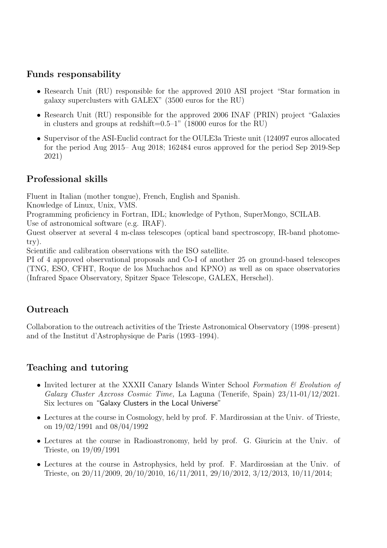### Funds responsability

- Research Unit (RU) responsible for the approved 2010 ASI project "Star formation in galaxy superclusters with GALEX" (3500 euros for the RU)
- Research Unit (RU) responsible for the approved 2006 INAF (PRIN) project "Galaxies in clusters and groups at redshift=0.5–1" (18000 euros for the RU)
- Supervisor of the ASI-Euclid contract for the OULE3a Trieste unit (124097 euros allocated for the period Aug 2015– Aug 2018; 162484 euros approved for the period Sep 2019-Sep 2021)

## Professional skills

Fluent in Italian (mother tongue), French, English and Spanish.

Knowledge of Linux, Unix, VMS.

Programming proficiency in Fortran, IDL; knowledge of Python, SuperMongo, SCILAB. Use of astronomical software (e.g. IRAF).

Guest observer at several 4 m-class telescopes (optical band spectroscopy, IR-band photometry).

Scientific and calibration observations with the ISO satellite.

PI of 4 approved observational proposals and Co-I of another 25 on ground-based telescopes (TNG, ESO, CFHT, Roque de los Muchachos and KPNO) as well as on space observatories (Infrared Space Observatory, Spitzer Space Telescope, GALEX, Herschel).

## **Outreach**

Collaboration to the outreach activities of the Trieste Astronomical Observatory (1998–present) and of the Institut d'Astrophysique de Paris (1993–1994).

### Teaching and tutoring

- Invited lecturer at the XXXII Canary Islands Winter School Formation  $\mathcal C$  Evolution of Galaxy Cluster Axcross Cosmic Time, La Laguna (Tenerife, Spain) 23/11-01/12/2021. Six lectures on "Galaxy Clusters in the Local Universe"
- Lectures at the course in Cosmology, held by prof. F. Mardirossian at the Univ. of Trieste, on 19/02/1991 and 08/04/1992
- Lectures at the course in Radioastronomy, held by prof. G. Giuricin at the Univ. of Trieste, on 19/09/1991
- Lectures at the course in Astrophysics, held by prof. F. Mardirossian at the Univ. of Trieste, on 20/11/2009, 20/10/2010, 16/11/2011, 29/10/2012, 3/12/2013, 10/11/2014;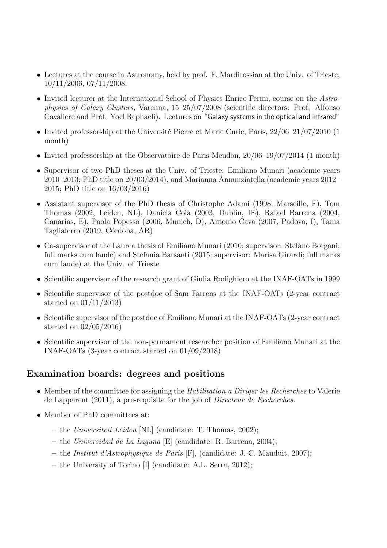- Lectures at the course in Astronomy, held by prof. F. Mardirossian at the Univ. of Trieste, 10/11/2006, 07/11/2008;
- Invited lecturer at the International School of Physics Enrico Fermi, course on the Astrophysics of Galaxy Clusters, Varenna, 15–25/07/2008 (scientific directors: Prof. Alfonso Cavaliere and Prof. Yoel Rephaeli). Lectures on "Galaxy systems in the optical and infrared"
- Invited professorship at the Université Pierre et Marie Curie, Paris,  $22/06-21/07/2010$  (1) month)
- Invited professorship at the Observatoire de Paris-Meudon,  $20/06-19/07/2014$  (1 month)
- Supervisor of two PhD theses at the Univ. of Trieste: Emiliano Munari (academic years 2010–2013; PhD title on 20/03/2014), and Marianna Annunziatella (academic years 2012– 2015; PhD title on 16/03/2016)
- Assistant supervisor of the PhD thesis of Christophe Adami (1998, Marseille, F), Tom Thomas (2002, Leiden, NL), Daniela Coia (2003, Dublin, IE), Rafael Barrena (2004, Canarias, E), Paola Popesso (2006, Munich, D), Antonio Cava (2007, Padova, I), Tania Tagliaferro (2019, Córdoba, AR)
- Co-supervisor of the Laurea thesis of Emiliano Munari (2010; supervisor: Stefano Borgani; full marks cum laude) and Stefania Barsanti (2015; supervisor: Marisa Girardi; full marks cum laude) at the Univ. of Trieste
- Scientific supervisor of the research grant of Giulia Rodighiero at the INAF-OATs in 1999
- Scientific supervisor of the postdoc of Sam Farrens at the INAF-OATs (2-year contract started on 01/11/2013)
- Scientific supervisor of the postdoc of Emiliano Munari at the INAF-OATs (2-year contract started on 02/05/2016)
- Scientific supervisor of the non-permament researcher position of Emiliano Munari at the INAF-OATs (3-year contract started on 01/09/2018)

### Examination boards: degrees and positions

- Member of the committee for assigning the *Habilitation a Diriger les Recherches* to Valerie de Lapparent (2011), a pre-requisite for the job of Directeur de Recherches.
- Member of PhD committees at:
	- the Universiteit Leiden [NL] (candidate: T. Thomas, 2002);
	- the Universidad de La Laguna [E] (candidate: R. Barrena, 2004);
	- the Institut d'Astrophysique de Paris [F], (candidate: J.-C. Mauduit, 2007);
	- the University of Torino [I] (candidate: A.L. Serra, 2012);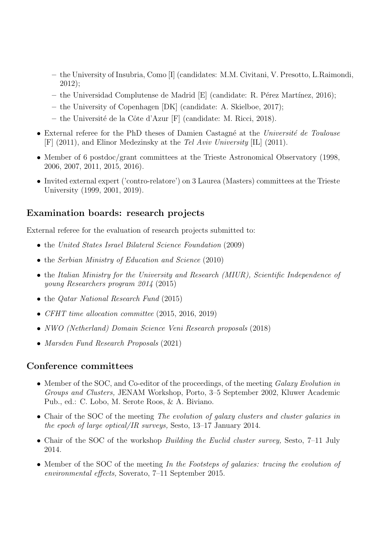- the University of Insubria, Como [I] (candidates: M.M. Civitani, V. Presotto, L.Raimondi, 2012);
- the Universidad Complutense de Madrid  $|E|$  (candidate: R. Pérez Martínez, 2016);
- the University of Copenhagen [DK] (candidate: A. Skielboe, 2017);
- $-$  the Université de la Côte d'Azur [F] (candidate: M. Ricci, 2018).
- External referee for the PhD theses of Damien Castagné at the Université de Toulouse [F] (2011), and Elinor Medezinsky at the Tel Aviv University [IL] (2011).
- Member of 6 postdoc/grant committees at the Trieste Astronomical Observatory (1998, 2006, 2007, 2011, 2015, 2016).
- Invited external expert ('contro-relatore') on 3 Laurea (Masters) committees at the Trieste University (1999, 2001, 2019).

### Examination boards: research projects

External referee for the evaluation of research projects submitted to:

- the United States Israel Bilateral Science Foundation (2009)
- the Serbian Ministry of Education and Science (2010)
- the Italian Ministry for the University and Research (MIUR), Scientific Independence of young Researchers program 2014 (2015)
- the *Qatar National Research Fund* (2015)
- CFHT time allocation committee (2015, 2016, 2019)
- NWO (Netherland) Domain Science Veni Research proposals (2018)
- Marsden Fund Research Proposals (2021)

#### Conference committees

- Member of the SOC, and Co-editor of the proceedings, of the meeting Galaxy Evolution in Groups and Clusters, JENAM Workshop, Porto, 3–5 September 2002, Kluwer Academic Pub., ed.: C. Lobo, M. Serote Roos, & A. Biviano.
- Chair of the SOC of the meeting The evolution of galaxy clusters and cluster galaxies in the epoch of large optical/IR surveys, Sesto, 13–17 January 2014.
- Chair of the SOC of the workshop *Building the Euclid cluster survey*, Sesto, 7–11 July 2014.
- Member of the SOC of the meeting In the Footsteps of galaxies: tracing the evolution of environmental effects, Soverato, 7–11 September 2015.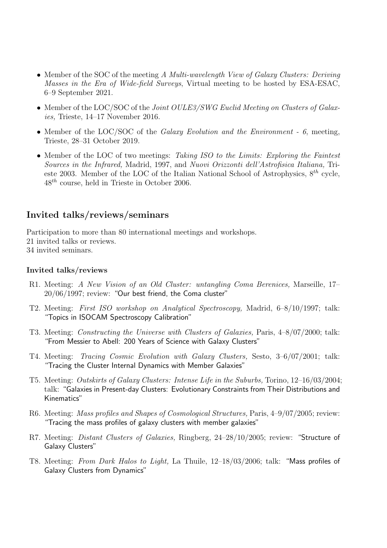- Member of the SOC of the meeting A Multi-wavelength View of Galaxy Clusters: Deriving Masses in the Era of Wide-field Surveys, Virtual meeting to be hosted by ESA-ESAC, 6–9 September 2021.
- Member of the LOC/SOC of the Joint OULE3/SWG Euclid Meeting on Clusters of Galaxies, Trieste, 14–17 November 2016.
- Member of the LOC/SOC of the *Galaxy Evolution and the Environment 6*, meeting, Trieste, 28–31 October 2019.
- Member of the LOC of two meetings: Taking ISO to the Limits: Exploring the Faintest Sources in the Infrared, Madrid, 1997, and Nuovi Orizzonti dell'Astrofisica Italiana, Trieste 2003. Member of the LOC of the Italian National School of Astrophysics,  $8^{th}$  cycle,  $48^{th}$  course, held in Trieste in October 2006.

### Invited talks/reviews/seminars

Participation to more than 80 international meetings and workshops.

- 21 invited talks or reviews.
- 34 invited seminars.

#### Invited talks/reviews

- R1. Meeting: A New Vision of an Old Cluster: untangling Coma Berenices, Marseille, 17– 20/06/1997; review: "Our best friend, the Coma cluster"
- T2. Meeting: First ISO workshop on Analytical Spectroscopy, Madrid, 6–8/10/1997; talk: "Topics in ISOCAM Spectroscopy Calibration"
- T3. Meeting: Constructing the Universe with Clusters of Galaxies, Paris, 4–8/07/2000; talk: "From Messier to Abell: 200 Years of Science with Galaxy Clusters"
- T4. Meeting: Tracing Cosmic Evolution with Galaxy Clusters, Sesto, 3–6/07/2001; talk: "Tracing the Cluster Internal Dynamics with Member Galaxies"
- T5. Meeting: Outskirts of Galaxy Clusters: Intense Life in the Suburbs, Torino, 12–16/03/2004; talk: "Galaxies in Present-day Clusters: Evolutionary Constraints from Their Distributions and Kinematics"
- R6. Meeting: Mass profiles and Shapes of Cosmological Structures, Paris, 4–9/07/2005; review: "Tracing the mass profiles of galaxy clusters with member galaxies"
- R7. Meeting: Distant Clusters of Galaxies, Ringberg, 24–28/10/2005; review: "Structure of Galaxy Clusters"
- T8. Meeting: From Dark Halos to Light, La Thuile, 12–18/03/2006; talk: "Mass profiles of Galaxy Clusters from Dynamics"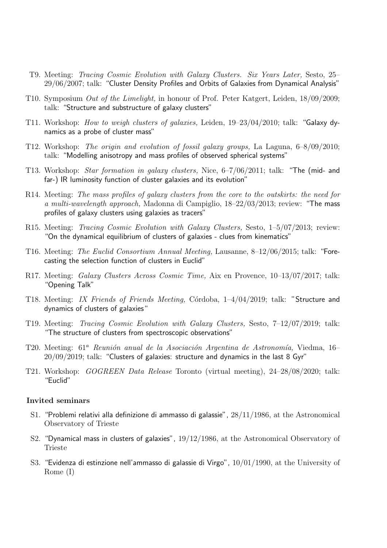- T9. Meeting: Tracing Cosmic Evolution with Galaxy Clusters. Six Years Later, Sesto, 25– 29/06/2007; talk: "Cluster Density Profiles and Orbits of Galaxies from Dynamical Analysis"
- T10. Symposium Out of the Limelight, in honour of Prof. Peter Katgert, Leiden, 18/09/2009; talk: "Structure and substructure of galaxy clusters"
- T11. Workshop: How to weigh clusters of galaxies, Leiden, 19–23/04/2010; talk: "Galaxy dynamics as a probe of cluster mass"
- T12. Workshop: The origin and evolution of fossil galaxy groups, La Laguna, 6–8/09/2010; talk: "Modelling anisotropy and mass profiles of observed spherical systems"
- T13. Workshop: Star formation in galaxy clusters, Nice, 6–7/06/2011; talk: "The (mid- and far-) IR luminosity function of cluster galaxies and its evolution"
- R14. Meeting: The mass profiles of galaxy clusters from the core to the outskirts: the need for a multi-wavelength approach, Madonna di Campiglio, 18–22/03/2013; review: "The mass profiles of galaxy clusters using galaxies as tracers"
- R15. Meeting: Tracing Cosmic Evolution with Galaxy Clusters, Sesto, 1–5/07/2013; review: "On the dynamical equilibrium of clusters of galaxies - clues from kinematics"
- T16. Meeting: The Euclid Consortium Annual Meeting, Lausanne, 8–12/06/2015; talk: "Forecasting the selection function of clusters in Euclid"
- R17. Meeting: Galaxy Clusters Across Cosmic Time, Aix en Provence, 10–13/07/2017; talk: "Opening Talk"
- T18. Meeting: IX Friends of Friends Meeting, Córdoba, 1-4/04/2019; talk: "Structure and dynamics of clusters of galaxies"
- T19. Meeting: Tracing Cosmic Evolution with Galaxy Clusters, Sesto, 7–12/07/2019; talk: "The structure of clusters from spectroscopic observations"
- T20. Meeting:  $61^a$  Reunión anual de la Asociación Argentina de Astronomía, Viedma, 16– 20/09/2019; talk: "Clusters of galaxies: structure and dynamics in the last 8 Gyr"
- T21. Workshop: GOGREEN Data Release Toronto (virtual meeting), 24–28/08/2020; talk: "Euclid"

#### Invited seminars

- S1. "Problemi relativi alla definizione di ammasso di galassie", 28/11/1986, at the Astronomical Observatory of Trieste
- S2. "Dynamical mass in clusters of galaxies", 19/12/1986, at the Astronomical Observatory of Trieste
- S3. "Evidenza di estinzione nell'ammasso di galassie di Virgo", 10/01/1990, at the University of Rome (I)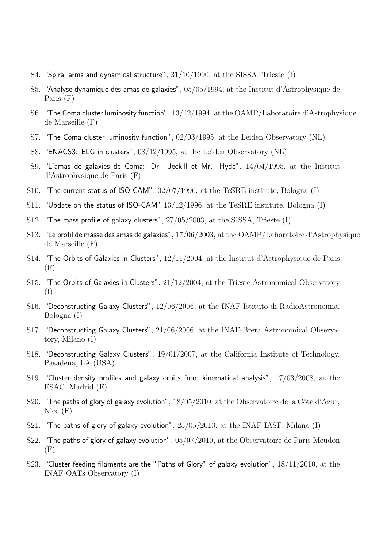- S4. "Spiral arms and dynamical structure", 31/10/1990, at the SISSA, Trieste (I)
- S5. "Analyse dynamique des amas de galaxies", 05/05/1994, at the Institut d'Astrophysique de Paris (F)
- S6. "The Coma cluster luminosity function", 13/12/1994, at the OAMP/Laboratoire d'Astrophysique de Marseille (F)
- S7. "The Coma cluster luminosity function", 02/03/1995, at the Leiden Observatory (NL)
- S8. "ENACS3: ELG in clusters", 08/12/1995, at the Leiden Observatory (NL)
- S9. "L'amas de galaxies de Coma: Dr. Jeckill et Mr. Hyde", 14/04/1995, at the Institut d'Astrophysique de Paris (F)
- S10. "The current status of ISO-CAM", 02/07/1996, at the TeSRE institute, Bologna (I)
- S11. "Update on the status of ISO-CAM" 13/12/1996, at the TeSRE institute, Bologna (I)
- S12. "The mass profile of galaxy clusters", 27/05/2003, at the SISSA, Trieste (I)
- S13. "Le profil de masse des amas de galaxies", 17/06/2003, at the OAMP/Laboratoire d'Astrophysique de Marseille (F)
- S14. "The Orbits of Galaxies in Clusters",  $12/11/2004$ , at the Institut d'Astrophysique de Paris  $(F)$
- S15. "The Orbits of Galaxies in Clusters", 21/12/2004, at the Trieste Astronomical Observatory (I)
- S16. "Deconstructing Galaxy Clusters", 12/06/2006, at the INAF-Istituto di RadioAstronomia, Bologna (I)
- S17. "Deconstructing Galaxy Clusters", 21/06/2006, at the INAF-Brera Astronomical Observatory, Milano (I)
- S18. "Deconstructing Galaxy Clusters", 19/01/2007, at the California Institute of Technology, Pasadena, LA (USA)
- S19. "Cluster density profiles and galaxy orbits from kinematical analysis", 17/03/2008, at the ESAC, Madrid (E)
- S20. "The paths of glory of galaxy evolution",  $18/05/2010$ , at the Observatoire de la Côte d'Azur, Nice (F)
- S21. "The paths of glory of galaxy evolution",  $25/05/2010$ , at the INAF-IASF, Milano (I)
- S22. "The paths of glory of galaxy evolution", 05/07/2010, at the Observatoire de Paris-Meudon  $(F)$
- S23. "Cluster feeding filaments are the "Paths of Glory" of galaxy evolution", 18/11/2010, at the INAF-OATs Observatory (I)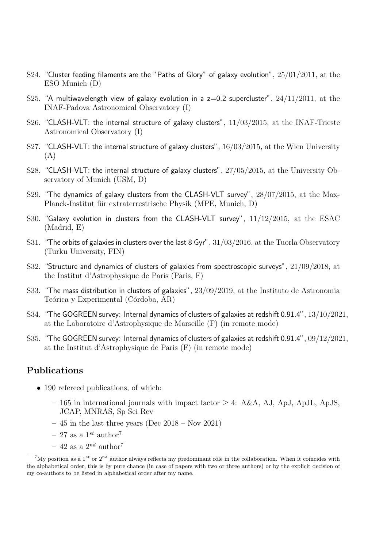- S24. "Cluster feeding filaments are the "Paths of Glory" of galaxy evolution", 25/01/2011, at the ESO Munich (D)
- S25. "A multiwavelength view of galaxy evolution in a  $z=0.2$  supercluster",  $24/11/2011$ , at the INAF-Padova Astronomical Observatory (I)
- S26. "CLASH-VLT: the internal structure of galaxy clusters",  $11/03/2015$ , at the INAF-Trieste Astronomical Observatory (I)
- S27. "CLASH-VLT: the internal structure of galaxy clusters", 16/03/2015, at the Wien University (A)
- S28. "CLASH-VLT: the internal structure of galaxy clusters", 27/05/2015, at the University Observatory of Munich (USM, D)
- S29. "The dynamics of galaxy clusters from the CLASH-VLT survey",  $28/07/2015$ , at the Max-Planck-Institut für extraterrestrische Physik (MPE, Munich, D)
- S30. "Galaxy evolution in clusters from the CLASH-VLT survey", 11/12/2015, at the ESAC (Madrid, E)
- S31. "The orbits of galaxies in clusters over the last 8 Gyr",  $31/03/2016$ , at the Tuorla Observatory (Turku University, FIN)
- S32. "Structure and dynamics of clusters of galaxies from spectroscopic surveys", 21/09/2018, at the Institut d'Astrophysique de Paris (Paris, F)
- S33. "The mass distribution in clusters of galaxies", 23/09/2019, at the Instituto de Astronomia Teórica y Experimental (Córdoba, AR)
- S34. "The GOGREEN survey: Internal dynamics of clusters of galaxies at redshift 0.91.4", 13/10/2021, at the Laboratoire d'Astrophysique de Marseille (F) (in remote mode)
- S35. "The GOGREEN survey: Internal dynamics of clusters of galaxies at redshift 0.91.4", 09/12/2021, at the Institut d'Astrophysique de Paris (F) (in remote mode)

### Publications

- 190 refereed publications, of which:
	- 165 in international journals with impact factor  $> 4$ : A&A, AJ, ApJ, ApJL, ApJS, JCAP, MNRAS, Sp Sci Rev
	- $-45$  in the last three years (Dec 2018 Nov 2021)
	- 27 as a  $1^{st}$  author<sup>7</sup>
	- 42 as a  $2^{nd}$  author<sup>7</sup>

<sup>&</sup>lt;sup>7</sup>My position as a 1<sup>st</sup> or  $2^{nd}$  author always reflects my predominant rôle in the collaboration. When it coincides with the alphabetical order, this is by pure chance (in case of papers with two or three authors) or by the explicit decision of my co-authors to be listed in alphabetical order after my name.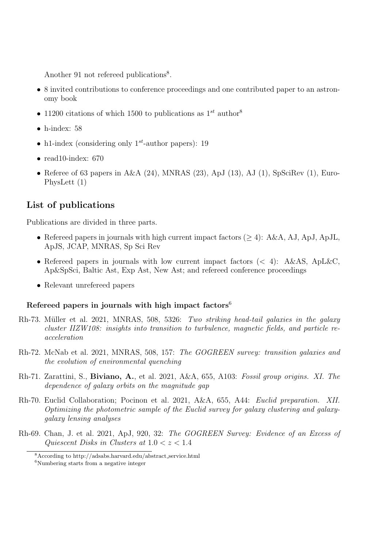Another 91 not refereed publications<sup>8</sup>.

- 8 invited contributions to conference proceedings and one contributed paper to an astronomy book
- 11200 citations of which 1500 to publications as  $1^{st}$  author<sup>8</sup>
- $\bullet$  h-index: 58
- h1-index (considering only  $1^{st}$ -author papers): 19
- read10-index:  $670$
- Referee of 63 papers in  $A&A(24)$ , MNRAS (23), ApJ (13), AJ (1), SpSciRev (1), Euro-PhysLett (1)

### List of publications

Publications are divided in three parts.

- Refereed papers in journals with high current impact factors  $(\geq 4)$ : A&A, AJ, ApJ, ApJL, ApJS, JCAP, MNRAS, Sp Sci Rev
- Refereed papers in journals with low current impact factors  $(< 4)$ : A&AS, ApL&C, Ap&SpSci, Baltic Ast, Exp Ast, New Ast; and refereed conference proceedings
- Relevant unrefereed papers

#### Refereed papers in journals with high impact factors<sup>6</sup>

- Rh-73. Müller et al. 2021, MNRAS, 508, 5326: Two striking head-tail galaxies in the galaxy cluster IIZW108: insights into transition to turbulence, magnetic fields, and particle reacceleration
- Rh-72. McNab et al. 2021, MNRAS, 508, 157: The GOGREEN survey: transition galaxies and the evolution of environmental quenching
- Rh-71. Zarattini, S., Biviano, A., et al. 2021, A&A, 655, A103: Fossil group origins. XI. The dependence of galaxy orbits on the magnitude gap
- Rh-70. Euclid Collaboration; Pocinon et al. 2021, A&A, 655, A44: Euclid preparation. XII. Optimizing the photometric sample of the Euclid survey for galaxy clustering and galaxygalaxy lensing analyses
- Rh-69. Chan, J. et al. 2021, ApJ, 920, 32: The GOGREEN Survey: Evidence of an Excess of Quiescent Disks in Clusters at  $1.0 < z < 1.4$

<sup>8</sup>According to http://adsabs.harvard.edu/abstract service.html

 ${}^{6}$ Numbering starts from a negative integer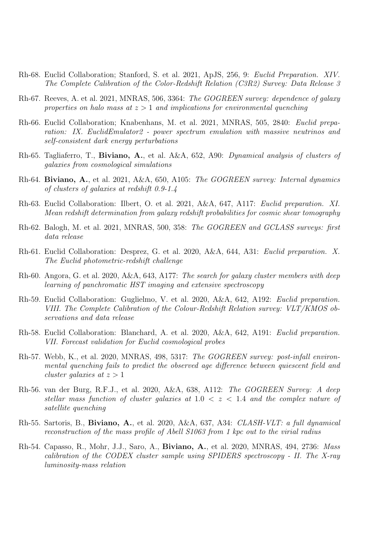- Rh-68. Euclid Collaboration; Stanford, S. et al. 2021, ApJS, 256, 9: Euclid Preparation. XIV. The Complete Calibration of the Color-Redshift Relation (C3R2) Survey: Data Release 3
- Rh-67. Reeves, A. et al. 2021, MNRAS, 506, 3364: The GOGREEN survey: dependence of galaxy properties on halo mass at  $z > 1$  and implications for environmental quenching
- Rh-66. Euclid Collaboration; Knabenhans, M. et al. 2021, MNRAS, 505, 2840: Euclid preparation: IX. EuclidEmulator2 - power spectrum emulation with massive neutrinos and self-consistent dark energy perturbations
- Rh-65. Tagliaferro, T., Biviano, A., et al. A&A, 652, A90: Dynamical analysis of clusters of galaxies from cosmological simulations
- Rh-64. Biviano, A., et al. 2021, A&A, 650, A105: The GOGREEN survey: Internal dynamics of clusters of galaxies at redshift 0.9-1.4
- Rh-63. Euclid Collaboration: Ilbert, O. et al. 2021, A&A, 647, A117: Euclid preparation. XI. Mean redshift determination from galaxy redshift probabilities for cosmic shear tomography
- Rh-62. Balogh, M. et al. 2021, MNRAS, 500, 358: The GOGREEN and GCLASS surveys: first data release
- Rh-61. Euclid Collaboration: Desprez, G. et al. 2020, A&A, 644, A31: Euclid preparation. X. The Euclid photometric-redshift challenge
- Rh-60. Angora, G. et al. 2020, A&A, 643, A177: The search for galaxy cluster members with deep learning of panchromatic HST imaging and extensive spectroscopy
- Rh-59. Euclid Collaboration: Guglielmo, V. et al. 2020, A&A, 642, A192: Euclid preparation. VIII. The Complete Calibration of the Colour-Redshift Relation survey: VLT/KMOS observations and data release
- Rh-58. Euclid Collaboration: Blanchard, A. et al. 2020, A&A, 642, A191: Euclid preparation. VII. Forecast validation for Euclid cosmological probes
- Rh-57. Webb, K., et al. 2020, MNRAS, 498, 5317: The GOGREEN survey: post-infall environmental quenching fails to predict the observed age difference between quiescent field and cluster galaxies at  $z > 1$
- Rh-56. van der Burg, R.F.J., et al. 2020, A&A, 638, A112: The GOGREEN Survey: A deep stellar mass function of cluster galaxies at  $1.0 < z < 1.4$  and the complex nature of satellite quenching
- Rh-55. Sartoris, B., Biviano, A., et al. 2020, A&A, 637, A34: CLASH-VLT: a full dynamical reconstruction of the mass profile of Abell S1063 from 1 kpc out to the virial radius
- Rh-54. Capasso, R., Mohr, J.J., Saro, A., Biviano, A., et al. 2020, MNRAS, 494, 2736: Mass calibration of the CODEX cluster sample using SPIDERS spectroscopy - II. The X-ray luminosity-mass relation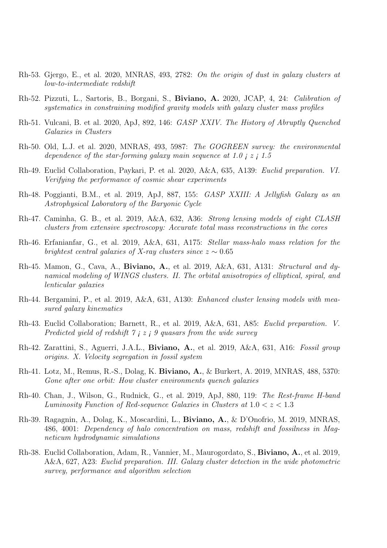- Rh-53. Gjergo, E., et al. 2020, MNRAS, 493, 2782: On the origin of dust in galaxy clusters at low-to-intermediate redshift
- Rh-52. Pizzuti, L., Sartoris, B., Borgani, S., Biviano, A. 2020, JCAP, 4, 24: Calibration of systematics in constraining modified gravity models with galaxy cluster mass profiles
- Rh-51. Vulcani, B. et al. 2020, ApJ, 892, 146: GASP XXIV. The History of Abruptly Quenched Galaxies in Clusters
- Rh-50. Old, L.J. et al. 2020, MNRAS, 493, 5987: The GOGREEN survey: the environmental dependence of the star-forming galaxy main sequence at 1.0  $\mu$   $\epsilon$  i 1.5
- Rh-49. Euclid Collaboration, Paykari, P. et al. 2020, A&A, 635, A139: Euclid preparation. VI. Verifying the performance of cosmic shear experiments
- Rh-48. Poggianti, B.M., et al. 2019, ApJ, 887, 155: GASP XXIII: A Jellyfish Galaxy as an Astrophysical Laboratory of the Baryonic Cycle
- Rh-47. Caminha, G. B., et al. 2019, A&A, 632, A36: Strong lensing models of eight CLASH clusters from extensive spectroscopy: Accurate total mass reconstructions in the cores
- Rh-46. Erfanianfar, G., et al. 2019, A&A, 631, A175: Stellar mass-halo mass relation for the brightest central galaxies of X-ray clusters since  $z \sim 0.65$
- Rh-45. Mamon, G., Cava, A., Biviano, A., et al. 2019, A&A, 631, A131: Structural and dynamical modeling of WINGS clusters. II. The orbital anisotropies of elliptical, spiral, and lenticular galaxies
- Rh-44. Bergamini, P., et al. 2019, A&A, 631, A130: Enhanced cluster lensing models with measured galaxy kinematics
- Rh-43. Euclid Collaboration; Barnett, R., et al. 2019, A&A, 631, A85: Euclid preparation. V. Predicted yield of redshift  $\gamma$  *i*  $z$  *j*  $\theta$  quasars from the wide survey
- Rh-42. Zarattini, S., Aguerri, J.A.L., Biviano, A., et al. 2019, A&A, 631, A16: Fossil group origins. X. Velocity segregation in fossil system
- Rh-41. Lotz, M., Remus, R.-S., Dolag, K. Biviano, A., & Burkert, A. 2019, MNRAS, 488, 5370: Gone after one orbit: How cluster environments quench galaxies
- Rh-40. Chan, J., Wilson, G., Rudnick, G., et al. 2019, ApJ, 880, 119: The Rest-frame H-band Luminosity Function of Red-sequence Galaxies in Clusters at  $1.0 < z < 1.3$
- Rh-39. Ragagnin, A., Dolag, K., Moscardini, L., Biviano, A., & D'Onofrio, M. 2019, MNRAS, 486, 4001: Dependency of halo concentration on mass, redshift and fossilness in Magneticum hydrodynamic simulations
- Rh-38. Euclid Collaboration, Adam, R., Vannier, M., Maurogordato, S., Biviano, A., et al. 2019, A&A, 627, A23: Euclid preparation. III. Galaxy cluster detection in the wide photometric survey, performance and algorithm selection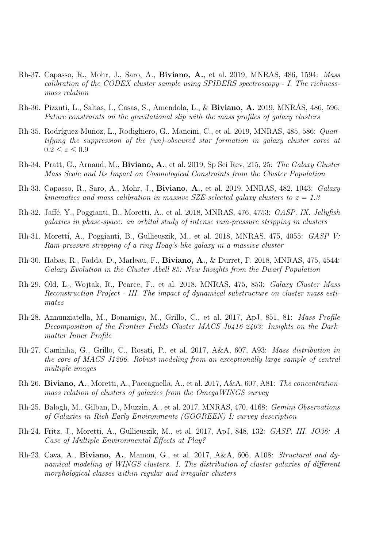- Rh-37. Capasso, R., Mohr, J., Saro, A., Biviano, A., et al. 2019, MNRAS, 486, 1594: Mass calibration of the CODEX cluster sample using SPIDERS spectroscopy - I. The richnessmass relation
- Rh-36. Pizzuti, L., Saltas, I., Casas, S., Amendola, L., & Biviano, A. 2019, MNRAS, 486, 596: Future constraints on the gravitational slip with the mass profiles of galaxy clusters
- Rh-35. Rodríguez-Muñoz, L., Rodighiero, G., Mancini, C., et al. 2019, MNRAS, 485, 586: Quantifying the suppression of the (un)-obscured star formation in galaxy cluster cores at  $0.2 \le z \le 0.9$
- Rh-34. Pratt, G., Arnaud, M., Biviano, A., et al. 2019, Sp Sci Rev, 215, 25: The Galaxy Cluster Mass Scale and Its Impact on Cosmological Constraints from the Cluster Population
- Rh-33. Capasso, R., Saro, A., Mohr, J., Biviano, A., et al. 2019, MNRAS, 482, 1043: Galaxy kinematics and mass calibration in massive SZE-selected galaxy clusters to  $z = 1.3$
- Rh-32. Jaffé, Y., Poggianti, B., Moretti, A., et al. 2018, MNRAS, 476, 4753: GASP. IX. Jellyfish galaxies in phase-space: an orbital study of intense ram-pressure stripping in clusters
- Rh-31. Moretti, A., Poggianti, B., Gullieuszik, M., et al. 2018, MNRAS, 475, 4055: GASP V: Ram-pressure stripping of a ring Hoag's-like galaxy in a massive cluster
- Rh-30. Habas, R., Fadda, D., Marleau, F., Biviano, A., & Durret, F. 2018, MNRAS, 475, 4544: Galaxy Evolution in the Cluster Abell 85: New Insights from the Dwarf Population
- Rh-29. Old, L., Wojtak, R., Pearce, F., et al. 2018, MNRAS, 475, 853: Galaxy Cluster Mass Reconstruction Project - III. The impact of dynamical substructure on cluster mass estimates
- Rh-28. Annunziatella, M., Bonamigo, M., Grillo, C., et al. 2017, ApJ, 851, 81: Mass Profile Decomposition of the Frontier Fields Cluster MACS J0416-2403: Insights on the Darkmatter Inner Profile
- Rh-27. Caminha, G., Grillo, C., Rosati, P., et al. 2017, A&A, 607, A93: Mass distribution in the core of MACS J1206. Robust modeling from an exceptionally large sample of central multiple images
- Rh-26. Biviano, A., Moretti, A., Paccagnella, A., et al. 2017, A&A, 607, A81: The concentrationmass relation of clusters of galaxies from the OmegaWINGS survey
- Rh-25. Balogh, M., Gilban, D., Muzzin, A., et al. 2017, MNRAS, 470, 4168: Gemini Observations of Galaxies in Rich Early Environments (GOGREEN) I: survey description
- Rh-24. Fritz, J., Moretti, A., Gullieuszik, M., et al. 2017, ApJ, 848, 132: GASP. III. JO36: A Case of Multiple Environmental Effects at Play?
- Rh-23. Cava, A., Biviano, A., Mamon, G., et al. 2017, A&A, 606, A108: Structural and dynamical modeling of WINGS clusters. I. The distribution of cluster galaxies of different morphological classes within regular and irregular clusters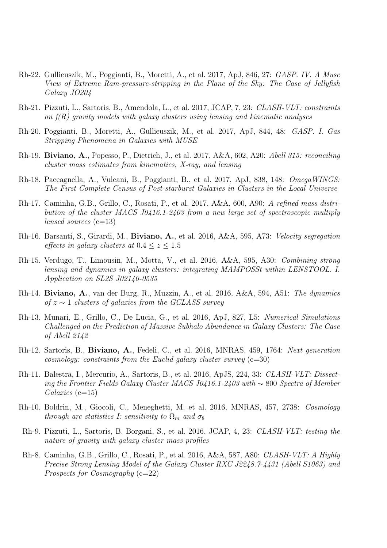- Rh-22. Gullieuszik, M., Poggianti, B., Moretti, A., et al. 2017, ApJ, 846, 27: GASP. IV. A Muse View of Extreme Ram-pressure-stripping in the Plane of the Sky: The Case of Jellyfish Galaxy JO204
- Rh-21. Pizzuti, L., Sartoris, B., Amendola, L., et al. 2017, JCAP, 7, 23: CLASH-VLT: constraints on  $f(R)$  gravity models with galaxy clusters using lensing and kinematic analyses
- Rh-20. Poggianti, B., Moretti, A., Gullieuszik, M., et al. 2017, ApJ, 844, 48: GASP. I. Gas Stripping Phenomena in Galaxies with MUSE
- Rh-19. Biviano, A., Popesso, P., Dietrich, J., et al. 2017, A&A, 602, A20: Abell 315: reconciling cluster mass estimates from kinematics, X-ray, and lensing
- Rh-18. Paccagnella, A., Vulcani, B., Poggianti, B., et al. 2017, ApJ, 838, 148: OmegaWINGS: The First Complete Census of Post-starburst Galaxies in Clusters in the Local Universe
- Rh-17. Caminha, G.B., Grillo, C., Rosati, P., et al. 2017, A&A, 600, A90: A refined mass distribution of the cluster MACS J0416.1-2403 from a new large set of spectroscopic multiply lensed sources  $(c=13)$
- Rh-16. Barsanti, S., Girardi, M., Biviano, A., et al. 2016, A&A, 595, A73: Velocity segregation effects in quality clusters at  $0.4 \leq z \leq 1.5$
- Rh-15. Verdugo, T., Limousin, M., Motta, V., et al. 2016, A&A, 595, A30: Combining strong lensing and dynamics in galaxy clusters: integrating MAMPOSSt within LENSTOOL. I. Application on SL2S J02140-0535
- Rh-14. Biviano, A., van der Burg, R., Muzzin, A., et al. 2016, A&A, 594, A51: The dynamics of  $z \sim 1$  clusters of galaxies from the GCLASS survey
- Rh-13. Munari, E., Grillo, C., De Lucia, G., et al. 2016, ApJ, 827, L5: Numerical Simulations Challenged on the Prediction of Massive Subhalo Abundance in Galaxy Clusters: The Case of Abell 2142
- Rh-12. Sartoris, B., Biviano, A., Fedeli, C., et al. 2016, MNRAS, 459, 1764: Next generation cosmology: constraints from the Euclid galaxy cluster survey  $(c=30)$
- Rh-11. Balestra, I., Mercurio, A., Sartoris, B., et al. 2016, ApJS, 224, 33: CLASH-VLT: Dissecting the Frontier Fields Galaxy Cluster MACS J0416.1-2403 with ∼ 800 Spectra of Member  $Galaxies$  (c=15)
- Rh-10. Boldrin, M., Giocoli, C., Meneghetti, M. et al. 2016, MNRAS, 457, 2738: Cosmology through arc statistics I: sensitivity to  $\Omega_m$  and  $\sigma_8$
- Rh-9. Pizzuti, L., Sartoris, B. Borgani, S., et al. 2016, JCAP, 4, 23: CLASH-VLT: testing the nature of gravity with galaxy cluster mass profiles
- Rh-8. Caminha, G.B., Grillo, C., Rosati, P., et al. 2016, A&A, 587, A80: CLASH-VLT: A Highly Precise Strong Lensing Model of the Galaxy Cluster RXC J2248.7-4431 (Abell S1063) and Prospects for Cosmoqraphy  $(c=22)$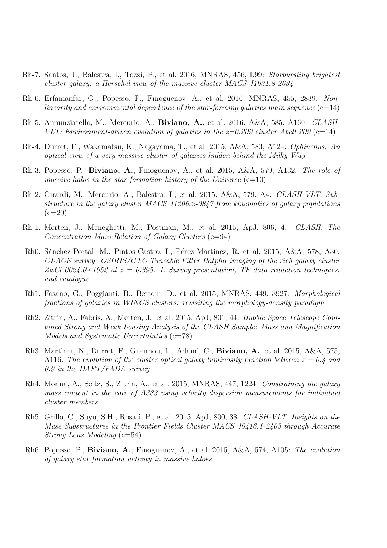- Rh-7. Santos, J., Balestra, I., Tozzi, P., et al. 2016, MNRAS, 456, L99: Starbursting brightest cluster galaxy: a Herschel view of the massive cluster MACS J1931.8-2634
- Rh-6. Erfanianfar, G., Popesso, P., Finoguenov, A., et al. 2016, MNRAS, 455, 2839: Nonlinearity and environmental dependence of the star-forming galaxies main sequence  $(c=14)$
- Rh-5. Annunziatella, M., Mercurio, A., Biviano, A., et al. 2016, A&A, 585, A160: CLASH-VLT: Environment-driven evolution of galaxies in the  $z=0.209$  cluster Abell 209 (c=14)
- Rh-4. Durret, F., Wakamatsu, K., Nagayama, T., et al. 2015, A&A, 583, A124: Ophiuchus: An optical view of a very massive cluster of galaxies hidden behind the Milky Way
- Rh-3. Popesso, P., Biviano, A., Finoguenov, A., et al. 2015, A&A, 579, A132: The role of massive halos in the star formation history of the Universe  $(c=10)$
- Rh-2. Girardi, M., Mercurio, A., Balestra, I., et al. 2015, A&A, 579, A4: CLASH-VLT: Substructure in the galaxy cluster MACS J1206.2-0847 from kinematics of galaxy populations  $(c=20)$
- Rh-1. Merten, J., Meneghetti, M., Postman, M., et al. 2015, ApJ, 806, 4. CLASH: The  $Concentration-Mass Relation of Galaxy Clusters (c=94)$
- Rh0. Sánchez-Portal, M., Pintos-Castro, I., Pérez-Martínez, R. et al. 2015, A&A, 578, A30: GLACE survey: OSIRIS/GTC Tuneable Filter Halpha imaging of the rich galaxy cluster ZwCl 0024.0+1652 at  $z = 0.395$ . I. Survey presentation, TF data reduction techniques, and catalogue
- Rh1. Fasano, G., Poggianti, B., Bettoni, D., et al. 2015, MNRAS, 449, 3927: Morphological fractions of galaxies in WINGS clusters: revisiting the morphology-density paradigm
- Rh2. Zitrin, A., Fabris, A., Merten, J., et al. 2015, ApJ, 801, 44: Hubble Space Telescope Combined Strong and Weak Lensing Analysis of the CLASH Sample: Mass and Magnification Models and Systematic Uncertainties (c=78)
- Rh3. Martinet, N., Durret, F., Guennou, L., Adami, C., Biviano, A., et al. 2015, A&A, 575, A116: The evolution of the cluster optical galaxy luminosity function between  $z = 0.4$  and 0.9 in the DAFT/FADA survey
- Rh4. Monna, A., Seitz, S., Zitrin, A., et al. 2015, MNRAS, 447, 1224: Constraining the galaxy mass content in the core of A383 using velocity dispersion measurements for individual cluster members
- Rh5. Grillo, C., Suyu, S.H., Rosati, P., et al. 2015, ApJ, 800, 38: CLASH-VLT: Insights on the Mass Substructures in the Frontier Fields Cluster MACS J0416.1-2403 through Accurate Strong Lens Modeling (c=54)
- Rh6. Popesso, P., Biviano, A., Finoguenov, A., et al. 2015, A&A, 574, A105: The evolution of galaxy star formation activity in massive haloes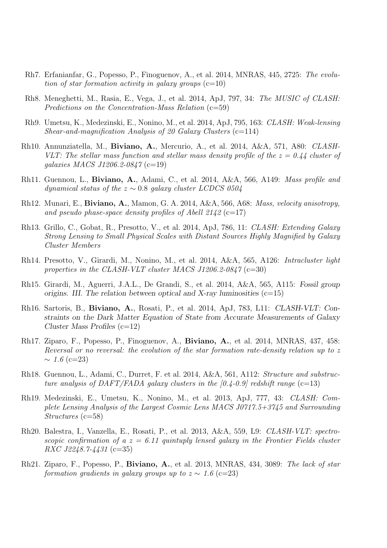- Rh7. Erfanianfar, G., Popesso, P., Finoguenov, A., et al. 2014, MNRAS, 445, 2725: The evolution of star formation activity in galaxy groups  $(c=10)$
- Rh8. Meneghetti, M., Rasia, E., Vega, J., et al. 2014, ApJ, 797, 34: The MUSIC of CLASH: Predictions on the Concentration-Mass Relation  $(c=59)$
- Rh9. Umetsu, K., Medezinski, E., Nonino, M., et al. 2014, ApJ, 795, 163: CLASH: Weak-lensing Shear-and-magnification Analysis of 20 Galaxy Clusters  $(c=114)$
- Rh10. Annunziatella, M., Biviano, A., Mercurio, A., et al. 2014, A&A, 571, A80: CLASH-VLT: The stellar mass function and stellar mass density profile of the  $z = 0.44$  cluster of galaxies MACS J1206.2-0847 (c=19)
- Rh11. Guennou, L., Biviano, A., Adami, C., et al. 2014, A&A, 566, A149: Mass profile and dynamical status of the  $z \sim 0.8$  galaxy cluster LCDCS 0504
- Rh12. Munari, E., Biviano, A., Mamon, G. A. 2014, A&A, 566, A68: Mass, velocity anisotropy, and pseudo phase-space density profiles of Abell  $2142$  (c=17)
- Rh13. Grillo, C., Gobat, R., Presotto, V., et al. 2014, ApJ, 786, 11: CLASH: Extending Galaxy Strong Lensing to Small Physical Scales with Distant Sources Highly Magnified by Galaxy Cluster Members
- Rh14. Presotto, V., Girardi, M., Nonino, M., et al. 2014, A&A, 565, A126: Intracluster light properties in the CLASH-VLT cluster MACS J1206.2-0847 (c=30)
- Rh15. Girardi, M., Aguerri, J.A.L., De Grandi, S., et al. 2014, A&A, 565, A115: *Fossil group origins. III. The relation between optical and X-ray luminosities*  $(c=15)$
- Rh16. Sartoris, B., Biviano, A., Rosati, P., et al. 2014, ApJ, 783, L11: *CLASH-VLT: Constraints on the Dark Matter Equation of State from Accurate Measurements of Galaxy Cluster Mass Profiles* (c=12)
- Rh17. Ziparo, F., Popesso, P., Finoguenov, A., Biviano, A., et al. 2014, MNRAS, 437, 458: Reversal or no reversal: the evolution of the star formation rate-density relation up to z  $\sim 1.6$  (c=23)
- Rh18. Guennou, L., Adami, C., Durret, F. et al. 2014, A&A, 561, A112: Structure and substructure analysis of DAFT/FADA galaxy clusters in the  $[0.4-0.9]$  redshift range (c=13)
- Rh19. Medezinski, E., Umetsu, K., Nonino, M., et al. 2013, ApJ, 777, 43: CLASH: Complete Lensing Analysis of the Largest Cosmic Lens MACS J0717.5+3745 and Surrounding Structures (c=58)
- Rh20. Balestra, I., Vanzella, E., Rosati, P., et al. 2013, A&A, 559, L9: CLASH-VLT: spectroscopic confirmation of a  $z = 6.11$  quintuply lensed galaxy in the Frontier Fields cluster RXC J2248.7-4431 (c=35)
- Rh21. Ziparo, F., Popesso, P., Biviano, A., et al. 2013, MNRAS, 434, 3089: The lack of star formation gradients in galaxy groups up to  $z \sim 1.6$  (c=23)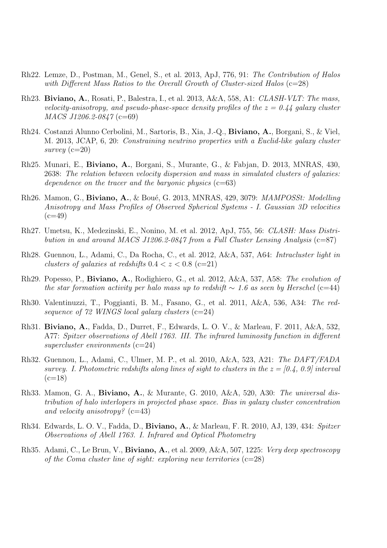- Rh22. Lemze, D., Postman, M., Genel, S., et al. 2013, ApJ, 776, 91: The Contribution of Halos with Different Mass Ratios to the Overall Growth of Cluster-sized Halos  $(c=28)$
- Rh23. Biviano, A., Rosati, P., Balestra, I., et al. 2013, A&A, 558, A1: CLASH-VLT: The mass, velocity-anisotropy, and pseudo-phase-space density profiles of the  $z = 0.44$  galaxy cluster MACS J1206.2-0847 (c=69)
- Rh24. Costanzi Alunno Cerbolini, M., Sartoris, B., Xia, J.-Q., Biviano, A., Borgani, S., & Viel, M. 2013, JCAP, 6, 20: Constraining neutrino properties with a Euclid-like galaxy cluster survey (c=20)
- Rh25. Munari, E., Biviano, A., Borgani, S., Murante, G., & Fabjan, D. 2013, MNRAS, 430, 2638: The relation between velocity dispersion and mass in simulated clusters of galaxies: dependence on the tracer and the baryonic physics  $(c=63)$
- Rh26. Mamon, G., Biviano, A., & Boué, G. 2013, MNRAS, 429, 3079: *MAMPOSSt: Modelling* Anisotropy and Mass Profiles of Observed Spherical Systems - I. Gaussian 3D velocities  $(c=49)$
- Rh27. Umetsu, K., Medezinski, E., Nonino, M. et al. 2012, ApJ, 755, 56: CLASH: Mass Distribution in and around MACS J1206.2-0847 from a Full Cluster Lensing Analysis  $(c=87)$
- Rh28. Guennou, L., Adami, C., Da Rocha, C., et al. 2012, A&A, 537, A64: Intracluster light in clusters of galaxies at redshifts  $0.4 < z < 0.8$  (c=21)
- Rh29. Popesso, P., Biviano, A., Rodighiero, G., et al. 2012, A&A, 537, A58: The evolution of the star formation activity per halo mass up to redshift  $\sim 1.6$  as seen by Herschel (c=44)
- Rh30. Valentinuzzi, T., Poggianti, B. M., Fasano, G., et al. 2011, A&A, 536, A34: The redsequence of  $72$  WINGS local galaxy clusters  $(c=24)$
- Rh31. Biviano, A., Fadda, D., Durret, F., Edwards, L. O. V., & Marleau, F. 2011, A&A, 532, A77: Spitzer observations of Abell 1763. III. The infrared luminosity function in different supercluster environments  $(c=24)$
- Rh32. Guennou, L., Adami, C., Ulmer, M. P., et al. 2010, A&A, 523, A21: The DAFT/FADA survey. I. Photometric redshifts along lines of sight to clusters in the  $z = [0.4, 0.9]$  interval  $(c=18)$
- Rh33. Mamon, G. A., Biviano, A., & Murante, G. 2010, A&A, 520, A30: The universal distribution of halo interlopers in projected phase space. Bias in galaxy cluster concentration and velocity anisotropy?  $(c=43)$
- Rh34. Edwards, L. O. V., Fadda, D., Biviano, A., & Marleau, F. R. 2010, AJ, 139, 434: Spitzer Observations of Abell 1763. I. Infrared and Optical Photometry
- Rh35. Adami, C., Le Brun, V., **Biviano, A.**, et al. 2009, A&A, 507, 1225: *Very deep spectroscopy* of the Coma cluster line of sight: exploring new territories  $(c=28)$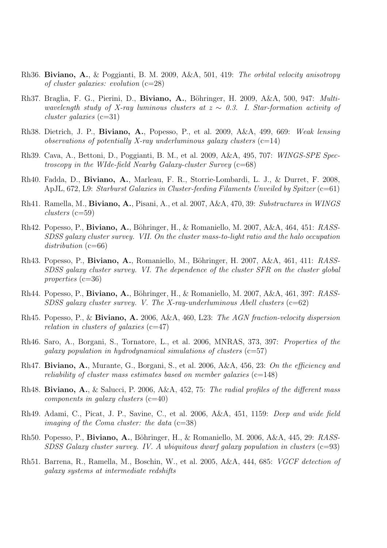- Rh36. Biviano, A., & Poggianti, B. M. 2009, A&A, 501, 419: The orbital velocity anisotropy of cluster galaxies: evolution  $(c=28)$
- Rh37. Braglia, F. G., Pierini, D., Biviano, A., Böhringer, H. 2009, A&A, 500, 947: Multiwavelength study of X-ray luminous clusters at  $z \sim 0.3$ . I. Star-formation activity of  $cluster$  galaxies (c=31)
- Rh38. Dietrich, J. P., Biviano, A., Popesso, P., et al. 2009, A&A, 499, 669: Weak lensing observations of potentially X-ray underluminous galaxy clusters  $(c=14)$
- Rh39. Cava, A., Bettoni, D., Poggianti, B. M., et al. 2009, A&A, 495, 707: WINGS-SPE Spectroscopy in the WIde-field Nearby Galaxy-cluster Survey  $(c=68)$
- Rh40. Fadda, D., Biviano, A., Marleau, F. R., Storrie-Lombardi, L. J., & Durret, F. 2008, ApJL,  $672$ , L9: Starburst Galaxies in Cluster-feeding Filaments Unveiled by Spitzer ( $c=61$ )
- Rh41. Ramella, M., Biviano, A., Pisani, A., et al. 2007, A&A, 470, 39: Substructures in WINGS  $clusters$  (c=59)
- Rh42. Popesso, P., **Biviano, A.**, Böhringer, H., & Romaniello, M. 2007, A&A, 464, 451: RASS-SDSS galaxy cluster survey. VII. On the cluster mass-to-light ratio and the halo occupation distribution  $(c=66)$
- Rh43. Popesso, P., Biviano, A., Romaniello, M., Böhringer, H. 2007, A&A, 461, 411: RASS-SDSS galaxy cluster survey. VI. The dependence of the cluster SFR on the cluster global properties (c=36)
- Rh44. Popesso, P., **Biviano, A.**, Böhringer, H., & Romaniello, M. 2007, A&A, 461, 397: RASS-SDSS galaxy cluster survey. V. The X-ray-underluminous Abell clusters  $(c=62)$
- Rh45. Popesso, P., & Biviano, A. 2006, A&A, 460, L23: The AGN fraction-velocity dispersion relation in clusters of galaxies  $(c=47)$
- Rh46. Saro, A., Borgani, S., Tornatore, L., et al. 2006, MNRAS, 373, 397: Properties of the galaxy population in hydrodynamical simulations of clusters  $(c=57)$
- Rh47. Biviano, A., Murante, G., Borgani, S., et al. 2006, A&A, 456, 23: On the efficiency and reliability of cluster mass estimates based on member galaxies  $(c=148)$
- Rh48. Biviano, A., & Salucci, P. 2006, A&A, 452, 75: The radial profiles of the different mass  $components in galaxy clusters (c=40)$
- Rh49. Adami, C., Picat, J. P., Savine, C., et al. 2006, A&A, 451, 1159: Deep and wide field imaging of the Coma cluster: the data  $(c=38)$
- Rh50. Popesso, P., Biviano, A., Böhringer, H., & Romaniello, M. 2006, A&A, 445, 29: RASS-SDSS Galaxy cluster survey. IV. A ubiquitous dwarf galaxy population in clusters  $(c=93)$
- Rh51. Barrena, R., Ramella, M., Boschin, W., et al. 2005, A&A, 444, 685: VGCF detection of galaxy systems at intermediate redshifts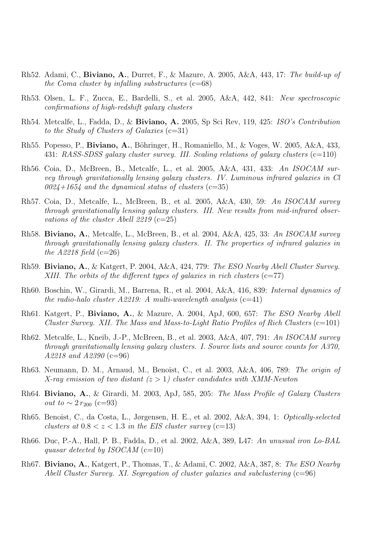- Rh52. Adami, C., Biviano, A., Durret, F., & Mazure, A. 2005, A&A, 443, 17: The build-up of the Coma cluster by infalling substructures  $(c=68)$
- Rh53. Olsen, L. F., Zucca, E., Bardelli, S., et al. 2005, A&A, 442, 841: New spectroscopic confirmations of high-redshift galaxy clusters
- Rh54. Metcalfe, L., Fadda, D., & Biviano, A. 2005, Sp Sci Rev, 119, 425: ISO's Contribution to the Study of Clusters of Galaxies  $(c=31)$
- Rh55. Popesso, P., Biviano, A., Böhringer, H., Romaniello, M., & Voges, W. 2005, A&A, 433, 431: RASS-SDSS galaxy cluster survey. III. Scaling relations of galaxy clusters (c=110)
- Rh56. Coia, D., McBreen, B., Metcalfe, L., et al. 2005, A&A, 431, 433: An ISOCAM survey through gravitationally lensing galaxy clusters. IV. Luminous infrared galaxies in Cl  $0024+1654$  and the dynamical status of clusters (c=35)
- Rh57. Coia, D., Metcalfe, L., McBreen, B., et al. 2005, A&A, 430, 59: An ISOCAM survey through gravitationally lensing galaxy clusters. III. New results from mid-infrared observations of the cluster Abell 2219 (c=25)
- Rh58. Biviano, A., Metcalfe, L., McBreen, B., et al. 2004, A&A, 425, 33: An ISOCAM survey through gravitationally lensing galaxy clusters. II. The properties of infrared galaxies in the  $A2218$  field (c=26)
- Rh59. Biviano, A., & Katgert, P. 2004, A&A, 424, 779: The ESO Nearby Abell Cluster Survey. XIII. The orbits of the different types of galaxies in rich clusters  $(c=77)$
- Rh60. Boschin, W., Girardi, M., Barrena, R., et al. 2004, A&A, 416, 839: Internal dynamics of the radio-halo cluster A2219: A multi-wavelength analysis  $(c=41)$
- Rh61. Katgert, P., Biviano, A., & Mazure, A. 2004, ApJ, 600, 657: The ESO Nearby Abell Cluster Survey. XII. The Mass and Mass-to-Light Ratio Profiles of Rich Clusters  $(c=101)$
- Rh62. Metcalfe, L., Kneib, J.-P., McBreen, B., et al. 2003, A&A, 407, 791: An ISOCAM survey through gravitationally lensing galaxy clusters. I. Source lists and source counts for A370, A2218 and A2390 (c=96)
- Rh63. Neumann, D. M., Arnaud, M., Benoist, C., et al. 2003, A&A, 406, 789: The origin of X-ray emission of two distant  $(z > 1)$  cluster candidates with XMM-Newton
- Rh64. Biviano, A., & Girardi, M. 2003, ApJ, 585, 205: The Mass Profile of Galaxy Clusters *out to*  $\sim 2 r_{200}$  (c=93)
- Rh65. Benoist, C., da Costa, L., Jørgensen, H. E., et al. 2002, A&A, 394, 1: Optically-selected clusters at  $0.8 < z < 1.3$  in the EIS cluster survey (c=13)
- Rh66. Duc, P.-A., Hall, P. B., Fadda, D., et al. 2002, A&A, 389, L47: An unusual iron Lo-BAL quasar detected by ISOCAM  $(c=10)$
- Rh67. Biviano, A., Katgert, P., Thomas, T., & Adami, C. 2002, A&A, 387, 8: The ESO Nearby Abell Cluster Survey. XI. Segregation of cluster galaxies and subclustering  $(c=96)$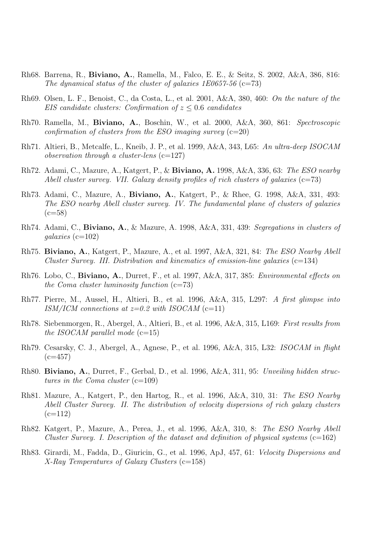- Rh68. Barrena, R., Biviano, A., Ramella, M., Falco, E. E., & Seitz, S. 2002, A&A, 386, 816: The dynamical status of the cluster of galaxies 1E0657-56 (c=73)
- Rh69. Olsen, L. F., Benoist, C., da Costa, L., et al. 2001, A&A, 380, 460: On the nature of the EIS candidate clusters: Confirmation of  $z \leq 0.6$  candidates
- Rh70. Ramella, M., Biviano, A., Boschin, W., et al. 2000, A&A, 360, 861: Spectroscopic confirmation of clusters from the ESO imaging survey  $(c=20)$
- Rh71. Altieri, B., Metcalfe, L., Kneib, J. P., et al. 1999, A&A, 343, L65: An ultra-deep ISOCAM observation through a cluster-lens  $(c=127)$
- Rh72. Adami, C., Mazure, A., Katgert, P., & Biviano, A. 1998, A&A, 336, 63: The ESO nearby Abell cluster survey. VII. Galaxy density profiles of rich clusters of galaxies  $(c=73)$
- Rh73. Adami, C., Mazure, A., Biviano, A., Katgert, P., & Rhee, G. 1998, A&A, 331, 493: The ESO nearby Abell cluster survey. IV. The fundamental plane of clusters of galaxies  $(c=58)$
- Rh74. Adami, C., Biviano, A., & Mazure, A. 1998, A&A, 331, 439: Segregations in clusters of  $qalaxies$  (c=102)
- Rh75. Biviano, A., Katgert, P., Mazure, A., et al. 1997, A&A, 321, 84: The ESO Nearby Abell Cluster Survey. III. Distribution and kinematics of emission-line galaxies  $(c=134)$
- Rh76. Lobo, C., Biviano, A., Durret, F., et al. 1997, A&A, 317, 385: Environmental effects on the Coma cluster luminosity function  $(c=73)$
- Rh77. Pierre, M., Aussel, H., Altieri, B., et al. 1996, A&A, 315, L297: A first glimpse into ISM/ICM connections at  $z=0.2$  with ISOCAM (c=11)
- Rh78. Siebenmorgen, R., Abergel, A., Altieri, B., et al. 1996, A&A, 315, L169: First results from the ISOCAM parallel mode  $(c=15)$
- Rh79. Cesarsky, C. J., Abergel, A., Agnese, P., et al. 1996, A&A, 315, L32: ISOCAM in flight  $(c=457)$
- Rh80. Biviano, A., Durret, F., Gerbal, D., et al. 1996, A&A, 311, 95: Unveiling hidden structures in the Coma cluster  $(c=109)$
- Rh81. Mazure, A., Katgert, P., den Hartog, R., et al. 1996, A&A, 310, 31: The ESO Nearby Abell Cluster Survey. II. The distribution of velocity dispersions of rich galaxy clusters  $(c=112)$
- Rh82. Katgert, P., Mazure, A., Perea, J., et al. 1996, A&A, 310, 8: The ESO Nearby Abell Cluster Survey. I. Description of the dataset and definition of physical systems  $(c=162)$
- Rh83. Girardi, M., Fadda, D., Giuricin, G., et al. 1996, ApJ, 457, 61: Velocity Dispersions and X-Ray Temperatures of Galaxy Clusters (c=158)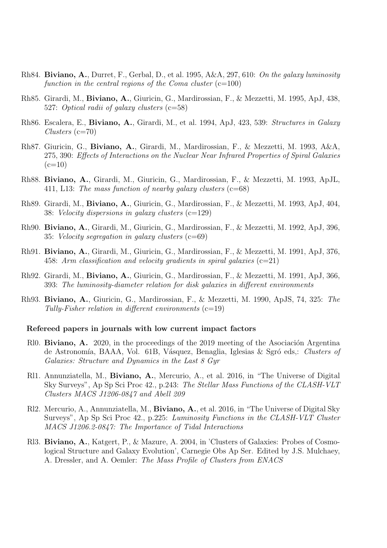- Rh84. Biviano, A., Durret, F., Gerbal, D., et al. 1995, A&A, 297, 610: On the galaxy luminosity function in the central regions of the Coma cluster  $(c=100)$
- Rh85. Girardi, M., Biviano, A., Giuricin, G., Mardirossian, F., & Mezzetti, M. 1995, ApJ, 438, 527: Optical radii of galaxy clusters (c=58)
- Rh86. Escalera, E., Biviano, A., Girardi, M., et al. 1994, ApJ, 423, 539: Structures in Galaxy  $Clusters$  (c=70)
- Rh87. Giuricin, G., Biviano, A., Girardi, M., Mardirossian, F., & Mezzetti, M. 1993, A&A, 275, 390: Effects of Interactions on the Nuclear Near Infrared Properties of Spiral Galaxies  $(c=10)$
- Rh88. Biviano, A., Girardi, M., Giuricin, G., Mardirossian, F., & Mezzetti, M. 1993, ApJL, 411, L13: The mass function of nearby galaxy clusters  $(c=68)$
- Rh89. Girardi, M., Biviano, A., Giuricin, G., Mardirossian, F., & Mezzetti, M. 1993, ApJ, 404, 38: Velocity dispersions in galaxy clusters (c=129)
- Rh90. Biviano, A., Girardi, M., Giuricin, G., Mardirossian, F., & Mezzetti, M. 1992, ApJ, 396, 35: Velocity segregation in galaxy clusters (c=69)
- Rh91. Biviano, A., Girardi, M., Giuricin, G., Mardirossian, F., & Mezzetti, M. 1991, ApJ, 376, 458: Arm classification and velocity gradients in spiral galaxies  $(c=21)$
- Rh92. Girardi, M., Biviano, A., Giuricin, G., Mardirossian, F., & Mezzetti, M. 1991, ApJ, 366, 393: The luminosity-diameter relation for disk galaxies in different environments
- Rh93. Biviano, A., Giuricin, G., Mardirossian, F., & Mezzetti, M. 1990, ApJS, 74, 325: The Tully-Fisher relation in different environments  $(c=19)$

#### Refereed papers in journals with low current impact factors

- Rl0. **Biviano, A.** 2020, in the proceedings of the 2019 meeting of the Asociación Argentina de Astronomía, BAAA, Vol. 61B, Vásquez, Benaglia, Iglesias & Sgró eds,: Clusters of Galaxies: Structure and Dynamics in the Last 8 Gyr
- Rl1. Annunziatella, M., Biviano, A., Mercurio, A., et al. 2016, in "The Universe of Digital Sky Surveys", Ap Sp Sci Proc 42., p.243: The Stellar Mass Functions of the CLASH-VLT Clusters MACS J1206-0847 and Abell 209
- Rl2. Mercurio, A., Annunziatella, M., Biviano, A., et al. 2016, in "The Universe of Digital Sky Surveys", Ap Sp Sci Proc 42., p.225: Luminosity Functions in the CLASH-VLT Cluster MACS J1206.2-0847: The Importance of Tidal Interactions
- Rl3. Biviano, A., Katgert, P., & Mazure, A. 2004, in 'Clusters of Galaxies: Probes of Cosmological Structure and Galaxy Evolution', Carnegie Obs Ap Ser. Edited by J.S. Mulchaey, A. Dressler, and A. Oemler: The Mass Profile of Clusters from ENACS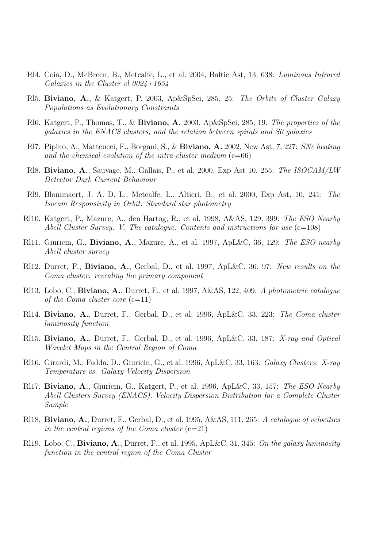- Rl4. Coia, D., McBreen, B., Metcalfe, L., et al. 2004, Baltic Ast, 13, 638: Luminous Infrared Galaxies in the Cluster cl  $0024+1654$
- Rl5. Biviano, A., & Katgert, P. 2003, Ap&SpSci, 285, 25: The Orbits of Cluster Galaxy Populations as Evolutionary Constraints
- Rl6. Katgert, P., Thomas, T., & Biviano, A. 2003, Ap&SpSci, 285, 19: The properties of the galaxies in the ENACS clusters, and the relation between spirals and S0 galaxies
- Rl7. Pipino, A., Matteucci, F., Borgani, S., & Biviano, A. 2002, New Ast, 7, 227: SNe heating and the chemical evolution of the intra-cluster medium  $(c=66)$
- Rl8. Biviano, A., Sauvage, M., Gallais, P., et al. 2000, Exp Ast 10, 255: The ISOCAM/LW Detector Dark Current Behaviour
- Rl9. Blommaert, J. A. D. L., Metcalfe, L., Altieri, B., et al. 2000, Exp Ast, 10, 241: The Isocam Responsivity in Orbit. Standard star photometry
- Rl10. Katgert, P., Mazure, A., den Hartog, R., et al. 1998, A&AS, 129, 399: The ESO Nearby Abell Cluster Survey. V. The catalogue: Contents and instructions for use  $(c=108)$
- Rl11. Giuricin, G., Biviano, A., Mazure, A., et al. 1997,  $ApL\&C$ , 36, 129: The ESO nearby Abell cluster survey
- Rl12. Durret, F., Biviano, A., Gerbal, D., et al. 1997, ApL&C, 36, 97: New results on the Coma cluster: revealing the primary component
- Rl13. Lobo, C., Biviano, A., Durret, F., et al. 1997, A&AS, 122, 409: A photometric catalogue of the Coma cluster core  $(c=11)$
- Rl14. Biviano, A., Durret, F., Gerbal, D., et al. 1996, ApL&C, 33, 223: The Coma cluster luminosity function
- Rl15. Biviano, A., Durret, F., Gerbal, D., et al. 1996, ApL&C, 33, 187: X-ray and Optical Wavelet Maps in the Central Region of Coma
- Rl16. Girardi, M., Fadda, D., Giuricin, G., et al. 1996, ApL&C, 33, 163: Galaxy Clusters: X-ray Temperature vs. Galaxy Velocity Dispersion
- Rl17. Biviano, A., Giuricin, G., Katgert, P., et al. 1996, ApL & C, 33, 157: The ESO Nearby Abell Clusters Survey (ENACS): Velocity Dispersion Distribution for a Complete Cluster Sample
- Rl18. Biviano, A., Durret, F., Gerbal, D., et al. 1995, A&AS, 111, 265: A catalogue of velocities in the central regions of the Coma cluster  $(c=21)$
- Rl19. Lobo, C., Biviano, A., Durret, F., et al. 1995, ApL&C, 31, 345: On the galaxy luminosity function in the central region of the Coma Cluster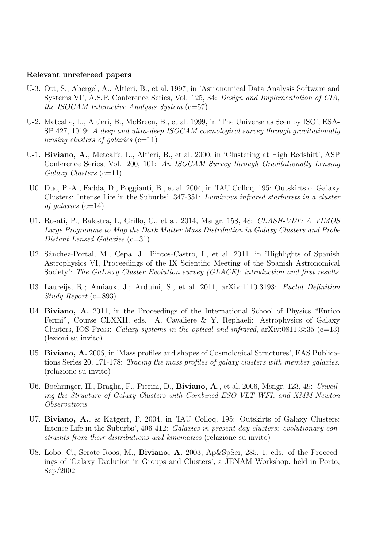#### Relevant unrefereed papers

- U-3. Ott, S., Abergel, A., Altieri, B., et al. 1997, in 'Astronomical Data Analysis Software and Systems VI', A.S.P. Conference Series, Vol. 125, 34: Design and Implementation of CIA, the ISOCAM Interactive Analysis System  $(c=57)$
- U-2. Metcalfe, L., Altieri, B., McBreen, B., et al. 1999, in 'The Universe as Seen by ISO', ESA-SP 427, 1019: A deep and ultra-deep ISOCAM cosmological survey through gravitationally lensing clusters of galaxies  $(c=11)$
- U-1. Biviano, A., Metcalfe, L., Altieri, B., et al. 2000, in 'Clustering at High Redshift', ASP Conference Series, Vol. 200, 101: An ISOCAM Survey through Gravitationally Lensing Galaxy Clusters (c=11)
- U0. Duc, P.-A., Fadda, D., Poggianti, B., et al. 2004, in 'IAU Colloq. 195: Outskirts of Galaxy Clusters: Intense Life in the Suburbs', 347-351: Luminous infrared starbursts in a cluster of galaxies  $(c=14)$
- U1. Rosati, P., Balestra, I., Grillo, C., et al. 2014, Msngr, 158, 48: CLASH-VLT: A VIMOS Large Programme to Map the Dark Matter Mass Distribution in Galaxy Clusters and Probe Distant Lensed Galaxies (c=31)
- U2. Sánchez-Portal, M., Cepa, J., Pintos-Castro, I., et al. 2011, in 'Highlights of Spanish Astrophysics VI, Proceedings of the IX Scientific Meeting of the Spanish Astronomical Society': The GaLAxy Cluster Evolution survey (GLACE): introduction and first results
- U3. Laureijs, R.; Amiaux, J.; Arduini, S., et al. 2011, arXiv:1110.3193: Euclid Definition Study Report (c=893)
- U4. Biviano, A. 2011, in the Proceedings of the International School of Physics "Enrico Fermi", Course CLXXII, eds. A. Cavaliere & Y. Rephaeli: Astrophysics of Galaxy Clusters, IOS Press: Galaxy systems in the optical and infrared,  $arXiv:0811.3535$  (c=13) (lezioni su invito)
- U5. Biviano, A. 2006, in 'Mass profiles and shapes of Cosmological Structures', EAS Publications Series 20, 171-178: Tracing the mass profiles of galaxy clusters with member galaxies. (relazione su invito)
- U6. Boehringer, H., Braglia, F., Pierini, D., **Biviano, A.**, et al. 2006, Msngr, 123, 49: Unveiling the Structure of Galaxy Clusters with Combined ESO-VLT WFI, and XMM-Newton Observations
- U7. Biviano, A., & Katgert, P. 2004, in 'IAU Colloq. 195: Outskirts of Galaxy Clusters: Intense Life in the Suburbs', 406-412: Galaxies in present-day clusters: evolutionary constraints from their distributions and kinematics (relazione su invito)
- U8. Lobo, C., Serote Roos, M., **Biviano, A.** 2003, Ap&SpSci, 285, 1, eds. of the Proceedings of 'Galaxy Evolution in Groups and Clusters', a JENAM Workshop, held in Porto, Sep/2002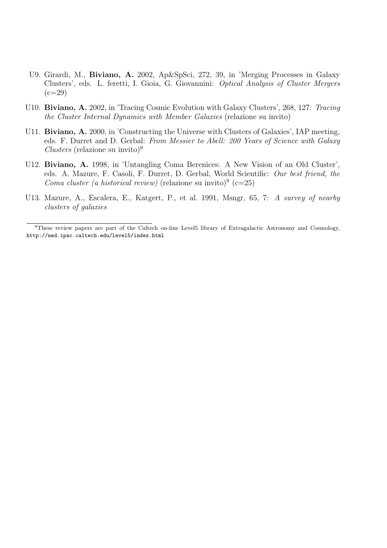- U9. Girardi, M., Biviano, A. 2002, Ap&SpSci, 272, 39, in 'Merging Processes in Galaxy Clusters', eds. L. feretti, I. Gioia, G. Giovannini: Optical Analysis of Cluster Mergers  $(c=29)$
- U10. Biviano, A. 2002, in 'Tracing Cosmic Evolution with Galaxy Clusters', 268, 127: Tracing the Cluster Internal Dynamics with Member Galaxies (relazione su invito)
- U11. **Biviano, A.** 2000, in 'Constructing the Universe with Clusters of Galaxies', IAP meeting, eds. F. Durret and D. Gerbal: From Messier to Abell: 200 Years of Science with Galaxy  $Clusters$  (relazione su invito)<sup>9</sup>
- U12. Biviano, A. 1998, in 'Untangling Coma Berenices: A New Vision of an Old Cluster', eds. A. Mazure, F. Casoli, F. Durret, D. Gerbal, World Scientific: Our best friend, the Coma cluster (a historical review) (relazione su invito)<sup>9</sup> (c=25)
- U13. Mazure, A., Escalera, E., Katgert, P., et al. 1991, Msngr, 65, 7: A survey of nearby clusters of galaxies

<sup>9</sup>These review papers are part of the Caltech on-line Level5 library of Extragalactic Astronomy and Cosmology, http://ned.ipac.caltech.edu/level5/index.html